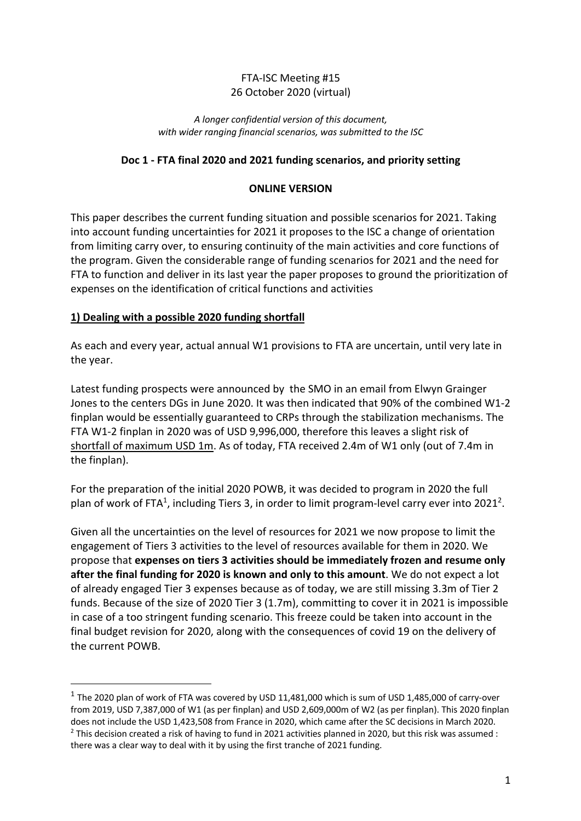## FTA-ISC Meeting #15 26 October 2020 (virtual)

#### *A longer confidential version of this document, with wider ranging financial scenarios, was submitted to the ISC*

## **Doc 1 - FTA final 2020 and 2021 funding scenarios, and priority setting**

#### **ONLINE VERSION**

This paper describes the current funding situation and possible scenarios for 2021. Taking into account funding uncertainties for 2021 it proposes to the ISC a change of orientation from limiting carry over, to ensuring continuity of the main activities and core functions of the program. Given the considerable range of funding scenarios for 2021 and the need for FTA to function and deliver in its last year the paper proposes to ground the prioritization of expenses on the identification of critical functions and activities

#### **1) Dealing with a possible 2020 funding shortfall**

As each and every year, actual annual W1 provisions to FTA are uncertain, until very late in the year.

Latest funding prospects were announced by the SMO in an email from Elwyn Grainger Jones to the centers DGs in June 2020. It was then indicated that 90% of the combined W1-2 finplan would be essentially guaranteed to CRPs through the stabilization mechanisms. The FTA W1-2 finplan in 2020 was of USD 9,996,000, therefore this leaves a slight risk of shortfall of maximum USD 1m. As of today, FTA received 2.4m of W1 only (out of 7.4m in the finplan).

For the preparation of the initial 2020 POWB, it was decided to program in 2020 the full plan of work of FTA<sup>1</sup>, including Tiers 3, in order to limit program-level carry ever into 2021<sup>2</sup>.

Given all the uncertainties on the level of resources for 2021 we now propose to limit the engagement of Tiers 3 activities to the level of resources available for them in 2020. We propose that **expenses on tiers 3 activities should be immediately frozen and resume only after the final funding for 2020 is known and only to this amount**. We do not expect a lot of already engaged Tier 3 expenses because as of today, we are still missing 3.3m of Tier 2 funds. Because of the size of 2020 Tier 3 (1.7m), committing to cover it in 2021 is impossible in case of a too stringent funding scenario. This freeze could be taken into account in the final budget revision for 2020, along with the consequences of covid 19 on the delivery of the current POWB.

 $1$  The 2020 plan of work of FTA was covered by USD 11,481,000 which is sum of USD 1,485,000 of carry-over from 2019, USD 7,387,000 of W1 (as per finplan) and USD 2,609,000m of W2 (as per finplan). This 2020 finplan does not include the USD 1,423,508 from France in 2020, which came after the SC decisions in March 2020.  $2$  This decision created a risk of having to fund in 2021 activities planned in 2020, but this risk was assumed : there was a clear way to deal with it by using the first tranche of 2021 funding.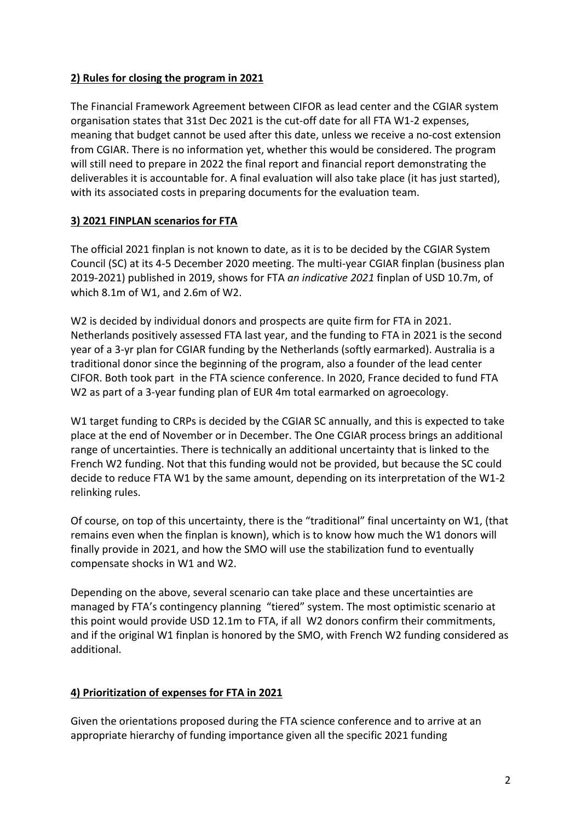## **2) Rules for closing the program in 2021**

The Financial Framework Agreement between CIFOR as lead center and the CGIAR system organisation states that 31st Dec 2021 is the cut-off date for all FTA W1-2 expenses, meaning that budget cannot be used after this date, unless we receive a no-cost extension from CGIAR. There is no information yet, whether this would be considered. The program will still need to prepare in 2022 the final report and financial report demonstrating the deliverables it is accountable for. A final evaluation will also take place (it has just started), with its associated costs in preparing documents for the evaluation team.

## **3) 2021 FINPLAN scenarios for FTA**

The official 2021 finplan is not known to date, as it is to be decided by the CGIAR System Council (SC) at its 4-5 December 2020 meeting. The multi-year CGIAR finplan (business plan 2019-2021) published in 2019, shows for FTA *an indicative 2021* finplan of USD 10.7m, of which 8.1m of W1, and 2.6m of W2.

W<sub>2</sub> is decided by individual donors and prospects are quite firm for FTA in 2021. Netherlands positively assessed FTA last year, and the funding to FTA in 2021 is the second year of a 3-yr plan for CGIAR funding by the Netherlands (softly earmarked). Australia is a traditional donor since the beginning of the program, also a founder of the lead center CIFOR. Both took part in the FTA science conference. In 2020, France decided to fund FTA W2 as part of a 3-year funding plan of EUR 4m total earmarked on agroecology.

W1 target funding to CRPs is decided by the CGIAR SC annually, and this is expected to take place at the end of November or in December. The One CGIAR process brings an additional range of uncertainties. There is technically an additional uncertainty that is linked to the French W2 funding. Not that this funding would not be provided, but because the SC could decide to reduce FTA W1 by the same amount, depending on its interpretation of the W1-2 relinking rules.

Of course, on top of this uncertainty, there is the "traditional" final uncertainty on W1, (that remains even when the finplan is known), which is to know how much the W1 donors will finally provide in 2021, and how the SMO will use the stabilization fund to eventually compensate shocks in W1 and W2.

Depending on the above, several scenario can take place and these uncertainties are managed by FTA's contingency planning "tiered" system. The most optimistic scenario at this point would provide USD 12.1m to FTA, if all W2 donors confirm their commitments, and if the original W1 finplan is honored by the SMO, with French W2 funding considered as additional.

# **4) Prioritization of expenses for FTA in 2021**

Given the orientations proposed during the FTA science conference and to arrive at an appropriate hierarchy of funding importance given all the specific 2021 funding